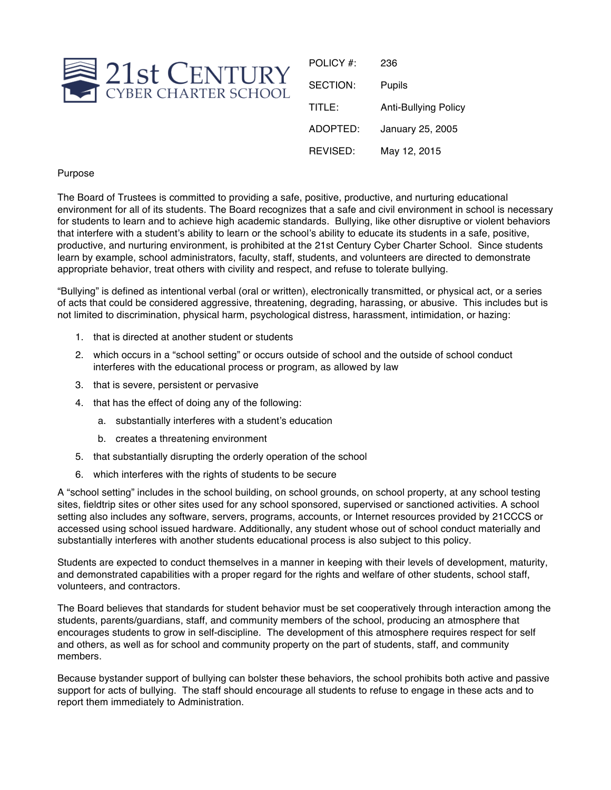

| POLICY #: | 236                         |
|-----------|-----------------------------|
| SECTION:  | Pupils                      |
| TITLE:    | <b>Anti-Bullying Policy</b> |
| ADOPTED:  | January 25, 2005            |
| REVISED:  | May 12, 2015                |

## Purpose

The Board of Trustees is committed to providing a safe, positive, productive, and nurturing educational environment for all of its students. The Board recognizes that a safe and civil environment in school is necessary for students to learn and to achieve high academic standards. Bullying, like other disruptive or violent behaviors that interfere with a student's ability to learn or the school's ability to educate its students in a safe, positive, productive, and nurturing environment, is prohibited at the 21st Century Cyber Charter School. Since students learn by example, school administrators, faculty, staff, students, and volunteers are directed to demonstrate appropriate behavior, treat others with civility and respect, and refuse to tolerate bullying.

"Bullying" is defined as intentional verbal (oral or written), electronically transmitted, or physical act, or a series of acts that could be considered aggressive, threatening, degrading, harassing, or abusive. This includes but is not limited to discrimination, physical harm, psychological distress, harassment, intimidation, or hazing:

- 1. that is directed at another student or students
- 2. which occurs in a "school setting" or occurs outside of school and the outside of school conduct interferes with the educational process or program, as allowed by law
- 3. that is severe, persistent or pervasive
- 4. that has the effect of doing any of the following:
	- a. substantially interferes with a student's education
	- b. creates a threatening environment
- 5. that substantially disrupting the orderly operation of the school
- 6. which interferes with the rights of students to be secure

A "school setting" includes in the school building, on school grounds, on school property, at any school testing sites, fieldtrip sites or other sites used for any school sponsored, supervised or sanctioned activities. A school setting also includes any software, servers, programs, accounts, or Internet resources provided by 21CCCS or accessed using school issued hardware. Additionally, any student whose out of school conduct materially and substantially interferes with another students educational process is also subject to this policy.

Students are expected to conduct themselves in a manner in keeping with their levels of development, maturity, and demonstrated capabilities with a proper regard for the rights and welfare of other students, school staff, volunteers, and contractors.

The Board believes that standards for student behavior must be set cooperatively through interaction among the students, parents/guardians, staff, and community members of the school, producing an atmosphere that encourages students to grow in self-discipline. The development of this atmosphere requires respect for self and others, as well as for school and community property on the part of students, staff, and community members.

Because bystander support of bullying can bolster these behaviors, the school prohibits both active and passive support for acts of bullying. The staff should encourage all students to refuse to engage in these acts and to report them immediately to Administration.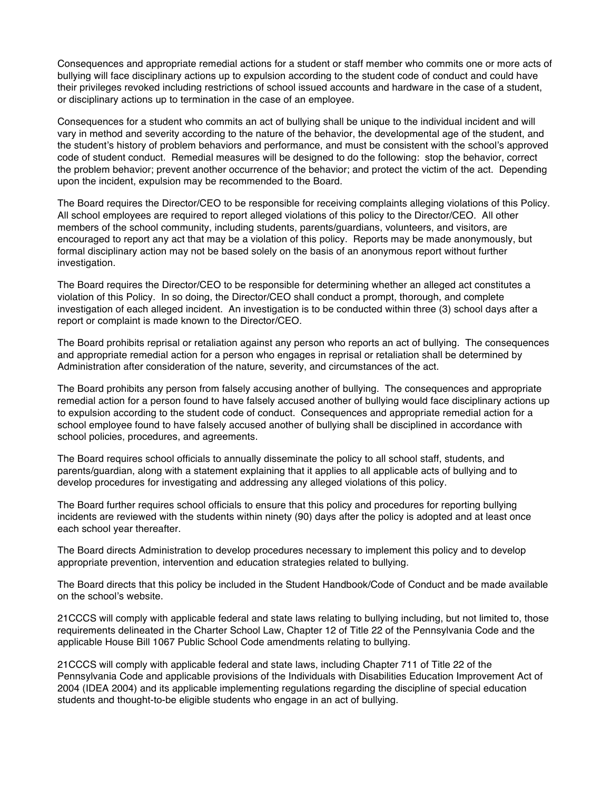Consequences and appropriate remedial actions for a student or staff member who commits one or more acts of bullying will face disciplinary actions up to expulsion according to the student code of conduct and could have their privileges revoked including restrictions of school issued accounts and hardware in the case of a student, or disciplinary actions up to termination in the case of an employee.

Consequences for a student who commits an act of bullying shall be unique to the individual incident and will vary in method and severity according to the nature of the behavior, the developmental age of the student, and the student's history of problem behaviors and performance, and must be consistent with the school's approved code of student conduct. Remedial measures will be designed to do the following: stop the behavior, correct the problem behavior; prevent another occurrence of the behavior; and protect the victim of the act. Depending upon the incident, expulsion may be recommended to the Board.

The Board requires the Director/CEO to be responsible for receiving complaints alleging violations of this Policy. All school employees are required to report alleged violations of this policy to the Director/CEO. All other members of the school community, including students, parents/guardians, volunteers, and visitors, are encouraged to report any act that may be a violation of this policy. Reports may be made anonymously, but formal disciplinary action may not be based solely on the basis of an anonymous report without further investigation.

The Board requires the Director/CEO to be responsible for determining whether an alleged act constitutes a violation of this Policy. In so doing, the Director/CEO shall conduct a prompt, thorough, and complete investigation of each alleged incident. An investigation is to be conducted within three (3) school days after a report or complaint is made known to the Director/CEO.

The Board prohibits reprisal or retaliation against any person who reports an act of bullying. The consequences and appropriate remedial action for a person who engages in reprisal or retaliation shall be determined by Administration after consideration of the nature, severity, and circumstances of the act.

The Board prohibits any person from falsely accusing another of bullying. The consequences and appropriate remedial action for a person found to have falsely accused another of bullying would face disciplinary actions up to expulsion according to the student code of conduct. Consequences and appropriate remedial action for a school employee found to have falsely accused another of bullying shall be disciplined in accordance with school policies, procedures, and agreements.

The Board requires school officials to annually disseminate the policy to all school staff, students, and parents/guardian, along with a statement explaining that it applies to all applicable acts of bullying and to develop procedures for investigating and addressing any alleged violations of this policy.

The Board further requires school officials to ensure that this policy and procedures for reporting bullying incidents are reviewed with the students within ninety (90) days after the policy is adopted and at least once each school year thereafter.

The Board directs Administration to develop procedures necessary to implement this policy and to develop appropriate prevention, intervention and education strategies related to bullying.

The Board directs that this policy be included in the Student Handbook/Code of Conduct and be made available on the school's website.

21CCCS will comply with applicable federal and state laws relating to bullying including, but not limited to, those requirements delineated in the Charter School Law, Chapter 12 of Title 22 of the Pennsylvania Code and the applicable House Bill 1067 Public School Code amendments relating to bullying.

21CCCS will comply with applicable federal and state laws, including Chapter 711 of Title 22 of the Pennsylvania Code and applicable provisions of the Individuals with Disabilities Education Improvement Act of 2004 (IDEA 2004) and its applicable implementing regulations regarding the discipline of special education students and thought-to-be eligible students who engage in an act of bullying.